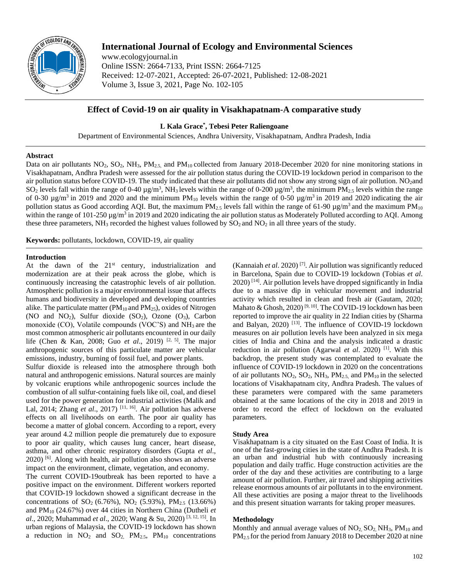

# **International Journal of Ecology and Environmental Sciences**

www.ecologyjournal.in Online ISSN: 2664-7133, Print ISSN: 2664-7125 Received: 12-07-2021, Accepted: 26-07-2021, Published: 12-08-2021 Volume 3, Issue 3, 2021, Page No. 102-105

# **Effect of Covid-19 on air quality in Visakhapatnam-A comparative study**

# **L Kala Grace\* , Tebesi Peter Raliengoane**

Department of Environmental Sciences, Andhra University, Visakhapatnam, Andhra Pradesh, India

#### **Abstract**

Data on air pollutants  $NO_2$ ,  $SO_2$ ,  $NH_3$ ,  $PM_{2.5}$  and  $PM_{10}$  collected from January 2018-December 2020 for nine monitoring stations in Visakhapatnam, Andhra Pradesh were assessed for the air pollution status during the COVID-19 lockdown period in comparison to the air pollution status before COVID-19. The study indicated that these air pollutants did not show any strong sign of air pollution. NO<sub>2</sub>and SO<sub>2</sub> levels fall within the range of 0-40  $\mu$ g/m<sup>3</sup>, NH<sub>3</sub> levels within the range of 0-200  $\mu$ g/m<sup>3</sup>, the minimum PM<sub>2.5</sub> levels within the range of 0-30  $\mu$ g/m<sup>3</sup> in 2019 and 2020 and the minimum PM<sub>10</sub> levels within the range of 0-50  $\mu$ g/m<sup>3</sup> in 2019 and 2020 indicating the air pollution status as Good according AQI. But, the maximum  $PM_{2.5}$  levels fall within the range of 61-90  $\mu g/m^3$  and the maximum  $PM_{10}$ within the range of 101-250 µg/m<sup>3</sup> in 2019 and 2020 indicating the air pollution status as Moderately Polluted according to AQI. Among these three parameters,  $NH_3$  recorded the highest values followed by  $SO_2$  and  $NO_2$  in all three years of the study.

**Keywords:** pollutants, lockdown, COVID-19, air quality

## **Introduction**

At the dawn of the  $21<sup>st</sup>$  century, industrialization and modernization are at their peak across the globe, which is continuously increasing the catastrophic levels of air pollution. Atmospheric pollution is a major environmental issue that affects humans and biodiversity in developed and developing countries alike. The particulate matter ( $PM_{10}$  and  $PM_{25}$ ), oxides of Nitrogen (NO and  $NO_2$ ), Sulfur dioxide (SO<sub>2</sub>), Ozone (O<sub>3</sub>), Carbon monoxide (CO), Volatile compounds (VOC'S) and NH<sub>3</sub> are the most common atmospheric air pollutants encountered in our daily life (Chen & Kan, 2008; Guo *et al.*, 2019)<sup>[2, 5]</sup>. The major anthropogenic sources of this particulate matter are vehicular emissions, industry, burning of fossil fuel, and power plants.

Sulfur dioxide is released into the atmosphere through both natural and anthropogenic emissions. Natural sources are mainly by volcanic eruptions while anthropogenic sources include the combustion of all sulfur-containing fuels like oil, coal, and diesel used for the power generation for industrial activities (Malik and Lal, 2014; Zhang *et al.*, 2017)<sup>[11, 16]</sup>. Air pollution has adverse effects on all livelihoods on earth. The poor air quality has become a matter of global concern. According to a report, every year around 4.2 million people die prematurely due to exposure to poor air quality, which causes lung cancer, heart disease, asthma, and other chronic respiratory disorders (Gupta *et al*., 2020) [6] . Along with health, air pollution also shows an adverse impact on the environment, climate, vegetation, and economy.

The current COVID-19outbreak has been reported to have a positive impact on the environment. Different workers reported that COVID-19 lockdown showed a significant decrease in the concentrations of  $SO_2$  (6.76%),  $NO_2$  (5.93%),  $PM_{2.5}$  (13.66%) and PM<sup>10</sup> (24.67%) over 44 cities in Northern China (Dutheli *et al*., 2020; Muhammad *et al*., 2020; Wang & Su, 2020) [3, 12, 15] . In urban regions of Malaysia, the COVID-19 lockdown has shown a reduction in  $NO_2$  and  $SO_2$ ,  $PM_{2.5}$ ,  $PM_{10}$  concentrations

(Kannaiah *et al*. 2020) [7] . Air pollution was significantly reduced in Barcelona, Spain due to COVID-19 lockdown (Tobias *et al*. 2020) [14] . Air pollution levels have dropped significantly in India due to a massive dip in vehicular movement and industrial activity which resulted in clean and fresh air (Gautam, 2020; Mahato & Ghosh, 2020)<sup>[9,10]</sup>. The COVID-19 lockdown has been reported to improve the air quality in 22 Indian cities by (Sharma and Balyan,  $2020$ )<sup>[13]</sup>. The influence of COVID-19 lockdown measures on air pollution levels have been analyzed in six mega cities of India and China and the analysis indicated a drastic reduction in air pollution (Agarwal *et al.* 2020)<sup>[1]</sup>. With this backdrop, the present study was contemplated to evaluate the influence of COVID-19 lockdown in 2020 on the concentrations of air pollutants  $NO_2$ ,  $SO_2$ ,  $NH_3$ ,  $PM_{2.5}$ , and  $PM_{10}$  in the selected locations of Visakhapatnam city, Andhra Pradesh. The values of these parameters were compared with the same parameters obtained at the same locations of the city in 2018 and 2019 in order to record the effect of lockdown on the evaluated parameters.

## **Study Area**

Visakhapatnam is a city situated on the East Coast of India. It is one of the fast-growing cities in the state of Andhra Pradesh. It is an urban and industrial hub with continuously increasing population and daily traffic. Huge construction activities are the order of the day and these activities are contributing to a large amount of air pollution. Further, air travel and shipping activities release enormous amounts of air pollutants in to the environment. All these activities are posing a major threat to the livelihoods and this present situation warrants for taking proper measures.

## **Methodology**

Monthly and annual average values of  $NO<sub>2</sub>, SO<sub>2</sub>, NH<sub>3</sub>, PM<sub>10</sub>$  and PM<sub>2.5</sub> for the period from January 2018 to December 2020 at nine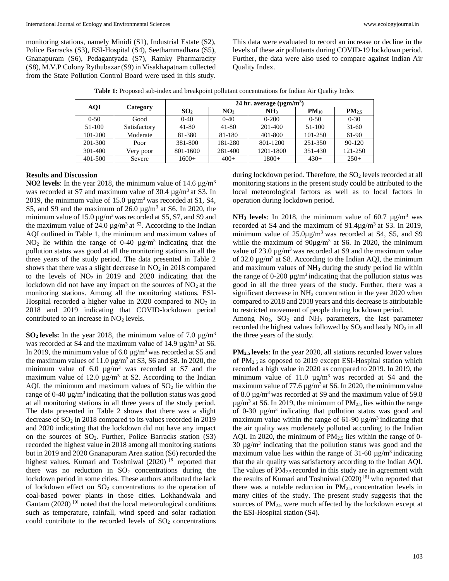monitoring stations, namely Minidi (S1), Industrial Estate (S2), Police Barracks (S3), ESI-Hospital (S4), Seethammadhara (S5), Gnanapuram (S6), Pedagantyada (S7), Ramky Pharmaracity (S8), M.V.P Colony Rythubazar (S9) in Visakhapatnam collected from the State Pollution Control Board were used in this study.

This data were evaluated to record an increase or decline in the levels of these air pollutants during COVID-19 lockdown period. Further, the data were also used to compare against Indian Air Quality Index.

| Table 1: Proposed sub-index and breakpoint pollutant concentrations for Indian Air Quality Index |
|--------------------------------------------------------------------------------------------------|
|--------------------------------------------------------------------------------------------------|

| <b>AQI</b> |              | 24 hr. average $(\mu \text{gm/m}^3)$ |                 |             |           |                   |  |  |  |  |
|------------|--------------|--------------------------------------|-----------------|-------------|-----------|-------------------|--|--|--|--|
|            | Category     | SO <sub>2</sub>                      | NO <sub>2</sub> | NH3         | $PM_{10}$ | PM <sub>2.5</sub> |  |  |  |  |
| $0 - 50$   | Good         | $0 - 40$                             | $0 - 40$        | $0 - 200$   | $0 - 50$  | $0 - 30$          |  |  |  |  |
| 51-100     | Satisfactory | 41-80                                | $41 - 80$       | $201 - 400$ | $51-100$  | $31-60$           |  |  |  |  |
| 101-200    | Moderate     | 81-380                               | 81-180          | 401-800     | 101-250   | 61-90             |  |  |  |  |
| 201-300    | Poor         | 381-800                              | 181-280         | 801-1200    | 251-350   | 90-120            |  |  |  |  |
| 301-400    | Very poor    | 801-1600                             | 281-400         | 1201-1800   | 351-430   | 121-250           |  |  |  |  |
| 401-500    | Severe       | 1600+                                | $400+$          | $1800+$     | $430+$    | $250+$            |  |  |  |  |

## **Results and Discussion**

**NO2 levels**: In the year 2018, the minimum value of 14.6  $\mu$ g/m<sup>3</sup> was recorded at S7 and maximum value of 30.4  $\mu$ g/m<sup>3</sup> at S3. In 2019, the minimum value of 15.0  $\mu$ g/m<sup>3</sup> was recorded at S1, S4, S5, and S9 and the maximum of  $26.0 \mu g/m^3$  at S6. In 2020, the minimum value of 15.0  $\mu$ g/m<sup>3</sup> was recorded at S5, S7, and S9 and the maximum value of 24.0  $\mu$ g/m<sup>3</sup> at <sup>S2</sup>. According to the Indian AQI outlined in Table 1, the minimum and maximum values of  $NO<sub>2</sub>$  lie within the range of 0-40  $\mu$ g/m<sup>3</sup> indicating that the pollution status was good at all the monitoring stations in all the three years of the study period. The data presented in Table 2 shows that there was a slight decrease in  $NO<sub>2</sub>$  in 2018 compared to the levels of  $NO<sub>2</sub>$  in 2019 and 2020 indicating that the lockdown did not have any impact on the sources of  $NO<sub>2</sub>$  at the monitoring stations. Among all the monitoring stations, ESI-Hospital recorded a higher value in  $2020$  compared to  $NO<sub>2</sub>$  in 2018 and 2019 indicating that COVID-lockdown period contributed to an increase in  $NO<sub>2</sub>$  levels.

**SO<sub>2</sub> levels:** In the year 2018, the minimum value of 7.0  $\mu$ g/m<sup>3</sup> was recorded at S4 and the maximum value of 14.9  $\mu$ g/m<sup>3</sup> at S6. In 2019, the minimum value of  $6.0 \mu g/m^3$  was recorded at S5 and the maximum values of  $11.0 \,\mu g/m^3$  at S3, S6 and S8. In 2020, the minimum value of 6.0  $\mu$ g/m<sup>3</sup> was recorded at S7 and the maximum value of 12.0  $\mu$ g/m<sup>3</sup> at S2. According to the Indian AQI, the minimum and maximum values of  $SO<sub>2</sub>$  lie within the range of 0-40  $\mu$ g/m<sup>3</sup> indicating that the pollution status was good at all monitoring stations in all three years of the study period. The data presented in Table 2 shows that there was a slight decrease of SO<sub>2</sub> in 2018 compared to its values recorded in 2019 and 2020 indicating that the lockdown did not have any impact on the sources of  $SO_2$ . Further, Police Barracks station  $(S3)$ recorded the highest value in 2018 among all monitoring stations but in 2019 and 2020 Gnanapuram Area station (S6) recorded the highest values. Kumari and Toshniwal (2020)<sup>[8]</sup> reported that there was no reduction in  $SO_2$  concentrations during the lockdown period in some cities. These authors attributed the lack of lockdown effect on  $SO_2$  concentrations to the operation of coal-based power plants in those cities. Lokhandwala and Gautam  $(2020)$ <sup>[9]</sup> noted that the local meteorological conditions such as temperature, rainfall, wind speed and solar radiation could contribute to the recorded levels of  $SO<sub>2</sub>$  concentrations

during lockdown period. Therefore, the  $SO<sub>2</sub>$  levels recorded at all monitoring stations in the present study could be attributed to the local meteorological factors as well as to local factors in operation during lockdown period.

**NH<sub>3</sub> levels**: In 2018, the minimum value of 60.7  $\mu$ g/m<sup>3</sup> was recorded at S4 and the maximum of  $91.4\mu g/m^3$  at S3. In 2019, minimum value of  $25.0\mu g/m^3$  was recorded at S4, S5, and S9 while the maximum of  $90\mu g/m^3$  at S6. In 2020, the minimum value of  $23.0 \mu g/m^3$  was recorded at S9 and the maximum value of 32.0  $\mu$ g/m<sup>3</sup> at S8. According to the Indian AQI, the minimum and maximum values of NH<sub>3</sub> during the study period lie within the range of 0-200  $\mu$ g/m<sup>3</sup> indicating that the pollution status was good in all the three years of the study. Further, there was a significant decrease in NH<sub>3</sub> concentration in the year 2020 when compared to 2018 and 2018 years and this decrease is attributable to restricted movement of people during lockdown period.

Among  $No_2$ ,  $SO_2$  and  $NH_3$  parameters, the last parameter recorded the highest values followed by  $SO_2$  and lastly  $NO_2$  in all the three years of the study.

**PM2.5 levels**: In the year 2020, all stations recorded lower values of PM2.5 as opposed to 2019 except ESI-Hospital station which recorded a high value in 2020 as compared to 2019. In 2019, the minimum value of 11.0  $\mu$ g/m<sup>3</sup> was recorded at S4 and the maximum value of 77.6  $\mu$ g/m<sup>3</sup> at S6. In 2020, the minimum value of 8.0  $\mu$ g/m<sup>3</sup> was recorded at S9 and the maximum value of 59.8  $\mu$ g/m<sup>3</sup> at S6. In 2019, the minimum of PM<sub>2.5</sub> lies within the range of 0-30  $\mu$ g/m<sup>3</sup> indicating that pollution status was good and maximum value within the range of  $61-90 \mu g/m^3$  indicating that the air quality was moderately polluted according to the Indian AQI. In 2020, the minimum of  $PM<sub>2.5</sub>$  lies within the range of 0-30  $\mu$ g/m<sup>3</sup> indicating that the pollution status was good and the maximum value lies within the range of  $31-60 \mu g/m^3$  indicating that the air quality was satisfactory according to the Indian AQI. The values of  $PM_{2.5}$  recorded in this study are in agreement with the results of Kumari and Toshniwal (2020) [8] who reported that there was a notable reduction in  $PM_{2.5}$  concentration levels in many cities of the study. The present study suggests that the sources of PM<sub>2.5</sub> were much affected by the lockdown except at the ESI-Hospital station (S4).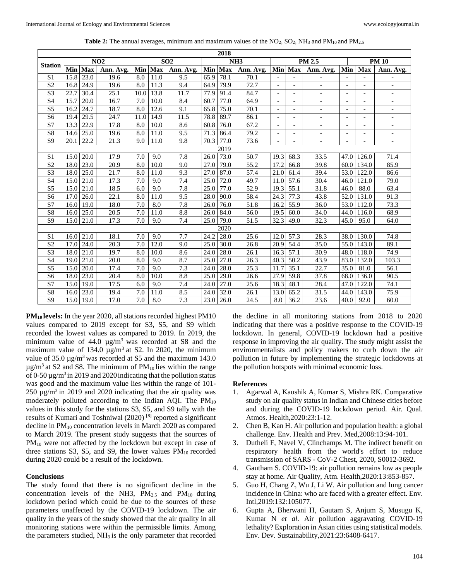|                        | NO2  |                   | SO <sub>2</sub> |      | 2018<br>NH <sub>3</sub> |           | PM 2.5 |         |           |                          | <b>PM 10</b>                 |                          |                          |                          |                              |
|------------------------|------|-------------------|-----------------|------|-------------------------|-----------|--------|---------|-----------|--------------------------|------------------------------|--------------------------|--------------------------|--------------------------|------------------------------|
| Station                |      | Min Max           |                 |      | Min Max                 |           |        | Min Max |           |                          |                              | Min Max Ann. Avg.        | Min                      | <b>Max</b>               |                              |
|                        |      |                   | Ann. Avg.       |      |                         | Ann. Avg. |        |         | Ann. Avg. |                          |                              |                          |                          |                          | Ann. Avg.                    |
| S <sub>1</sub>         | 15.8 | 23.0              | 19.6            | 8.0  | 11.0                    | 9.5       | 65.9   | 78.1    | 70.1      | $\bar{\phantom{a}}$      |                              |                          | $\overline{\phantom{a}}$ |                          |                              |
| S <sub>2</sub>         | 16.8 | 24.9              | 19.6            | 8.0  | 11.3                    | 9.4       | 64.9   | 79.9    | 72.7      | $\overline{\phantom{a}}$ | $\qquad \qquad \blacksquare$ | $\overline{\phantom{a}}$ | $\overline{\phantom{a}}$ | $\overline{\phantom{a}}$ | $\overline{\phantom{a}}$     |
| S <sub>3</sub>         | 22.7 | 30.4              | 25.1            | 10.0 | 13.8                    | 11.7      | 77.9   | 91.4    | 84.7      | $\overline{\phantom{0}}$ | $\overline{a}$               | $\overline{\phantom{0}}$ | $\overline{\phantom{a}}$ | $\overline{\phantom{a}}$ | $\qquad \qquad \blacksquare$ |
| S4                     | 15.7 | 20.0              | 16.7            | 7.0  | 10.0                    | 8.4       | 60.7   | 77.0    | 64.9      | $\overline{\phantom{0}}$ | $\overline{a}$               | $\overline{\phantom{0}}$ | $\overline{\phantom{a}}$ |                          | $\overline{\phantom{a}}$     |
| S <sub>5</sub>         | 16.2 | 24.7              | 18.7            | 8.0  | 12.6                    | 9.1       | 65.8   | 75.0    | 70.1      | $\overline{a}$           |                              |                          | $\qquad \qquad -$        |                          |                              |
| S <sub>6</sub>         | 19.4 | 29.5              | 24.7            | 11.0 | 14.9                    | 11.5      | 78.8   | 89.7    | 86.1      | $\overline{\phantom{a}}$ | $\overline{a}$               | $\overline{\phantom{a}}$ | $\overline{\phantom{a}}$ | $\overline{\phantom{a}}$ | $\overline{\phantom{a}}$     |
| S7                     | 13.3 | 22.9              | 17.8            | 8.0  | 10.0                    | 8.6       | 60.8   | 76.0    | 67.2      | $\overline{\phantom{0}}$ | $\overline{a}$               | $\overline{\phantom{0}}$ | $\overline{\phantom{a}}$ | $\overline{\phantom{a}}$ | $\overline{\phantom{a}}$     |
| S8                     | 14.6 | 25.0              | 19.6            | 8.0  | 11.0                    | 9.5       | 71.3   | 86.4    | 79.2      | $\overline{\phantom{0}}$ | $\overline{a}$               | $\overline{\phantom{0}}$ | $\overline{\phantom{a}}$ | $\overline{\phantom{a}}$ | $\overline{\phantom{a}}$     |
| $\overline{S9}$        | 20.1 | 22.2              | 21.3            | 9.0  | 11.0                    | 9.8       | 70.3   | 77.0    | 73.6      | $\overline{\phantom{0}}$ | $\overline{a}$               | $\overline{\phantom{a}}$ | $\overline{\phantom{a}}$ | $\overline{\phantom{a}}$ | $\overline{\phantom{a}}$     |
| 2019                   |      |                   |                 |      |                         |           |        |         |           |                          |                              |                          |                          |                          |                              |
| S <sub>1</sub>         | 15.0 | 20.0              | 17.9            | 7.0  | 9.0                     | 7.8       | 26.0   | 73.0    | 50.7      | 19.3                     | 68.3                         | 33.5                     | 47.0                     | 126.0                    | 71.4                         |
| $\overline{S2}$        | 18.0 | 23.0              | 20.9            | 8.0  | 10.0                    | 9.0       | 27.0   | 79.0    | 55.2      | 17.2                     | 66.8                         | 39.8                     | 60.0                     | 134.0                    | 85.9                         |
| S <sub>3</sub>         | 18.0 | 25.0              | 21.7            | 8.0  | 11.0                    | 9.3       | 27.0   | 87.0    | 57.4      | 21.0                     | 61.4                         | 39.4                     | 53.0                     | 122.0                    | 86.6                         |
| $\overline{S4}$        | 15.0 | 21.0              | 17.3            | 7.0  | 9.0                     | 7.4       | 25.0   | 72.0    | 49.7      | 11.0                     | 57.6                         | 30.4                     | 46.0                     | 121.0                    | 79.0                         |
| S <sub>5</sub>         | 15.0 | 21.0              | 18.5            | 6.0  | 9.0                     | 7.8       | 25.0   | 77.0    | 52.9      | 19.3                     | 55.1                         | 31.8                     | 46.0                     | 88.0                     | 63.4                         |
| S <sub>6</sub>         | 17.0 | 26.0              | 22.1            | 8.0  | 11.0                    | 9.5       | 28.0   | 90.0    | 58.4      | 24.3                     | 77.3                         | 43.8                     | 52.0                     | 131.0                    | 91.3                         |
| S7                     | 16.0 | 19.0              | 18.0            | 7.0  | 8.0                     | 7.8       | 26.0   | 76.0    | 51.8      | 16.2                     | 55.9                         | 36.0                     | 53.0                     | 112.0                    | 73.3                         |
| S8                     | 16.0 | 25.0              | 20.5            | 7.0  | 11.0                    | 8.8       | 26.0   | 84.0    | 56.0      | 19.5                     | 60.0                         | 34.0                     | 44.0                     | 116.0                    | 68.9                         |
| S <sub>9</sub>         | 15.0 | 21.0              | 17.3            | 7.0  | 9.0                     | 7.4       | 25.0   | 79.0    | 51.5      | 32.3                     | 49.0                         | 32.3                     | 45.0                     | 95.0                     | 64.0                         |
| 2020                   |      |                   |                 |      |                         |           |        |         |           |                          |                              |                          |                          |                          |                              |
| S <sub>1</sub>         | 16.0 | 21.0              | 18.1            | 7.0  | 9.0                     | 7.7       | 24.2   | 28.0    | 25.6      | 12.0                     | 57.3                         | 28.3                     | 38.0                     | 130.0                    | 74.8                         |
| S <sub>2</sub>         | 17.0 | 24.0              | 20.3            | 7.0  | 12.0                    | 9.0       | 25.0   | 30.0    | 26.8      | 20.9                     | 54.4                         | 35.0                     | 55.0                     | 143.0                    | 89.1                         |
| $\overline{S3}$        | 18.0 | 21.0              | 19.7            | 8.0  | 10.0                    | 8.6       | 24.0   | 28.0    | 26.1      | 16.3                     | 57.1                         | 30.9                     | 48.0                     | 118.0                    | 74.9                         |
| S4                     | 19.0 | 21.0              | 20.0            | 8.0  | 9.0                     | 8.7       | 25.0   | 27.0    | 26.3      | 40.3                     | 50.2                         | 43.9                     | 83.0                     | 132.0                    | 103.3                        |
| $\overline{\text{S5}}$ | 15.0 | $\overline{20.0}$ | 17.4            | 7.0  | 9.0                     | 7.3       | 24.0   | 28.0    | 25.3      | 11.7                     | 35.1                         | 22.7                     | 35.0                     | 81.0                     | 56.1                         |
| S <sub>6</sub>         | 18.0 | 23.0              | 20.4            | 8.0  | 10.0                    | 8.8       | 25.0   | 29.0    | 26.6      | 27.9                     | 59.8                         | 37.8                     | 68.0                     | 136.0                    | 90.5                         |
| S7                     | 15.0 | 19.0              | 17.5            | 6.0  | 9.0                     | 7.4       | 24.0   | 27.0    | 25.6      | 18.3                     | 48.1                         | 28.4                     | 47.0                     | 122.0                    | 74.1                         |
| $\overline{S8}$        | 16.0 | 23.0              | 19.4            | 7.0  | 11.0                    | 8.5       | 24.0   | 32.0    | 26.1      | 13.0                     | 65.2                         | 31.5                     | 44.0                     | 143.0                    | 75.9                         |
| S <sub>9</sub>         |      | 15.0 19.0         | 17.0            | 7.0  | 8.0                     | 7.3       | 23.0   | 26.0    | 24.5      | 8.0                      | 36.2                         | 23.6                     | 40.0                     | 92.0                     | 60.0                         |

**Table 2:** The annual averages, minimum and maximum values of the NO<sub>2</sub>, SO<sub>2</sub>, NH<sub>3</sub> and PM<sub>10</sub> and PM<sub>2.5</sub>

**PM10 levels:** In the year 2020, all stations recorded highest PM10 values compared to 2019 except for S3, S5, and S9 which recorded the lowest values as compared to 2019. In 2019, the minimum value of  $44.0 \mu g/m^3$  was recorded at S8 and the maximum value of 134.0  $\mu$ g/m<sup>3</sup> at S2. In 2020, the minimum value of 35.0  $\mu$ g/m<sup>3</sup> was recorded at S5 and the maximum 143.0  $\mu$ g/m<sup>3</sup> at S2 and S8. The minimum of PM<sub>10</sub> lies within the range of 0-50  $\mu$ g/m<sup>3</sup> in 2019 and 2020 indicating that the pollution status was good and the maximum value lies within the range of 101- 250  $\mu$ g/m<sup>3</sup> in 2019 and 2020 indicating that the air quality was moderately polluted according to the Indian AQI. The  $PM_{10}$ values in this study for the stations S3, S5, and S9 tally with the results of Kumari and Toshniwal (2020)<sup>[8]</sup> reported a significant decline in  $PM_{10}$  concentration levels in March 2020 as compared to March 2019. The present study suggests that the sources of PM<sub>10</sub> were not affected by the lockdown but except in case of three stations S3, S5, and S9, the lower values  $PM_{10}$  recorded during 2020 could be a result of the lockdown.

#### **Conclusions**

The study found that there is no significant decline in the concentration levels of the NH3,  $PM_{2.5}$  and  $PM_{10}$  during lockdown period which could be due to the sources of these parameters unaffected by the COVID-19 lockdown. The air quality in the years of the study showed that the air quality in all monitoring stations were within the permissible limits. Among the parameters studied,  $NH<sub>3</sub>$  is the only parameter that recorded

the decline in all monitoring stations from 2018 to 2020 indicating that there was a positive response to the COVID-19 lockdown. In general, COVID-19 lockdown had a positive response in improving the air quality. The study might assist the environmentalists and policy makers to curb down the air pollution in future by implementing the strategic lockdowns at the pollution hotspots with minimal economic loss.

#### **References**

- 1. Agarwal A, Kaushik A, Kumar S, Mishra RK. Comparative study on air quality status in Indian and Chinese cities before and during the COVID-19 lockdown period. Air. Qual. Atmos. Health,2020:23:1-12.
- 2. Chen B, Kan H. Air pollution and population health: a global challenge. Env. Health and Prev. Med,2008:13:94-101.
- 3. Dutheli F, Navel V, Clinchamps M. The indirect benefit on respiratory health from the world's effort to reduce transmission of SARS - CoV-2 Chest, 2020, S0012-3692.
- 4. Gautham S. COVID-19: air pollution remains low as people stay at home. Air Quality, Atm. Health,2020:13:853-857.
- 5. Guo H, Chang Z, Wu J, Li W. Air pollution and lung cancer incidence in China: who are faced with a greater effect. Env. Intl,2019:132:105077.
- 6. Gupta A, Bherwani H, Gautam S, Anjum S, Musugu K, Kumar N *et al*. Air pollution aggravating COVID-19 lethality? Exploration in Asian cities using statistical models. Env. Dev. Sustainability,2021:23:6408-6417.